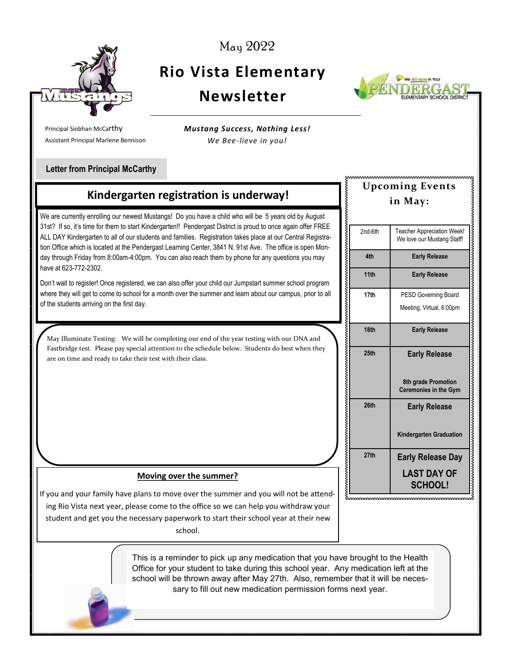

May 2022

## **Rio Vista Elementary Newsletter**



............................

Principal Siobhan McCarthy Assistant Principal Marlene Bennison *Mustang Success, Nothing Less! We Bee-lieve in you!*

### **Letter from Principal McCarthy**

## **Kindergarten registration is underway!**

We are currently enrolling our newest Mustangs! Do you have a child who will be 5 years old by August 31st? If so, it's time for them to start Kindergarten!! Pendergast District is proud to once again offer FREE ALL DAY Kindergarten to all of our students and families. Registration takes place at our Central Registration Office which is located at the Pendergast Learning Center, 3841 N. 91st Ave. The office is open Monday through Friday from 8:00am-4:00pm. You can also reach them by phone for any questions you may have at 623-772-2302.

Don't wait to register! Once registered, we can also offer your child our Jumpstart summer school program where they will get to come to school for a month over the summer and learn about our campus, prior to all of the students arriving on the first day.

May Illuminate Testing: We will be completing our end of the year testing with our DNA and Fastbridge test. Please pay special attention to the schedule below. Students do best when they are on time and ready to take their test with their class.

#### **Moving over the summer?**

If you and your family have plans to move over the summer and you will not be attending Rio Vista next year, please come to the office so we can help you withdraw your student and get you the necessary paperwork to start their school year at their new school.

> This is a reminder to pick up any medication that you have brought to the Health Office for your student to take during this school year. Any medication left at the school will be thrown away after May 27th. Also, remember that it will be necessary to fill out new medication permission forms next year.

# **Upcoming Events in May:** 2nd-6th Teacher Appreciation Week! We love our Mustang Staff! **4th Early Release 11th Early Release** 17th **PESD Governing Board** Meeting, Virtual, 6:00pm **18th Early Release 25th Early Release 8th grade Promotion Ceremonies in the Gym 26th Early Release Kindergarten Graduation 27th Early Release Day LAST DAY OF SCHOOL!**

ီးလာတာတာတာတာတာတာတာတာတာတာတာတာတ